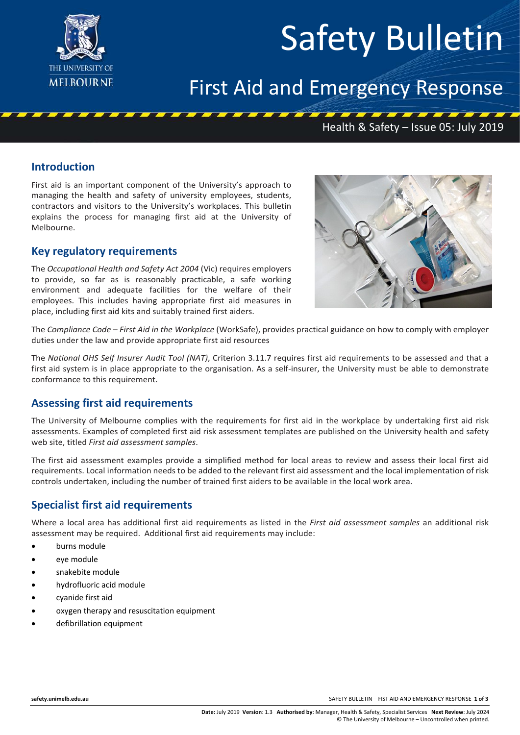

# Safety Bulletin

# First Aid and Emergency Response

## Health & Safety – Issue 05: July 2019

#### **Introduction**

First aid is an important component of the University's approach to managing the health and safety of university employees, students, contractors and visitors to the University's workplaces. This bulletin explains the process for managing first aid at the University of Melbourne.

#### **Key regulatory requirements**

The *Occupational Health and Safety Act 2004* (Vic) requires employers to provide, so far as is reasonably practicable, a safe working environment and adequate facilities for the welfare of their employees. This includes having appropriate first aid measures in place, including first aid kits and suitably trained first aiders.



The *Compliance Code – First Aid in the Workplace* (WorkSafe), provides practical guidance on how to comply with employer duties under the law and provide appropriate first aid resources

The *National OHS Self Insurer Audit Tool (NAT)*, Criterion 3.11.7 requires first aid requirements to be assessed and that a first aid system is in place appropriate to the organisation. As a self-insurer, the University must be able to demonstrate conformance to this requirement.

#### **Assessing first aid requirements**

The University of Melbourne complies with the requirements for first aid in the workplace by undertaking first aid risk assessments. Examples of completed first aid risk assessment templates are published on the University health and safety web site, titled *First aid assessment samples*.

The first aid assessment examples provide a simplified method for local areas to review and assess their local first aid requirements. Local information needs to be added to the relevant first aid assessment and the local implementation of risk controls undertaken, including the number of trained first aiders to be available in the local work area.

#### **Specialist first aid requirements**

Where a local area has additional first aid requirements as listed in the *First aid assessment samples* an additional risk assessment may be required. Additional first aid requirements may include:

- burns module
- eve module
- snakebite module
- hydrofluoric acid module
- cyanide first aid
- oxygen therapy and resuscitation equipment
- defibrillation equipment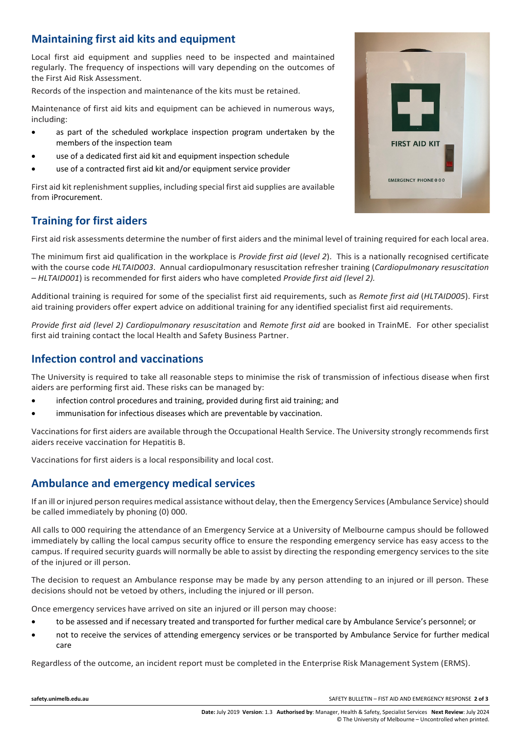### **Maintaining first aid kits and equipment**

Local first aid equipment and supplies need to be inspected and maintained regularly. The frequency of inspections will vary depending on the outcomes of the First Aid Risk Assessment.

Records of the inspection and maintenance of the kits must be retained.

Maintenance of first aid kits and equipment can be achieved in numerous ways, including:

- as part of the scheduled workplace inspection program undertaken by the members of the inspection team
- use of a dedicated first aid kit and equipment inspection schedule
- use of a contracted first aid kit and/or equipment service provider

First aid kit replenishment supplies, including special first aid supplies are available from iProcurement.

### **Training for first aiders**

First aid risk assessments determine the number of first aiders and the minimal level of training required for each local area.

The minimum first aid qualification in the workplace is *Provide first aid* (*level 2*). This is a nationally recognised certificate with the course code *HLTAID003*. Annual cardiopulmonary resuscitation refresher training (*Cardiopulmonary resuscitation – HLTAID001*) is recommended for first aiders who have completed *Provide first aid (level 2).*

Additional training is required for some of the specialist first aid requirements, such as *Remote first aid* (*HLTAID005*). First aid training providers offer expert advice on additional training for any identified specialist first aid requirements.

*Provide first aid (level 2) Cardiopulmonary resuscitation* and *Remote first aid* are booked in TrainME. For other specialist first aid training contact the local Health and Safety Business Partner.

#### **Infection control and vaccinations**

The University is required to take all reasonable steps to minimise the risk of transmission of infectious disease when first aiders are performing first aid. These risks can be managed by:

- infection control procedures and training, provided during first aid training; and
- immunisation for infectious diseases which are preventable by vaccination.

Vaccinations for first aiders are available through the Occupational Health Service. The University strongly recommends first aiders receive vaccination for Hepatitis B.

Vaccinations for first aiders is a local responsibility and local cost.

#### **Ambulance and emergency medical services**

If an ill or injured person requires medical assistance without delay, then the Emergency Services (Ambulance Service) should be called immediately by phoning (0) 000.

All calls to 000 requiring the attendance of an Emergency Service at a University of Melbourne campus should be followed immediately by calling the local campus security office to ensure the responding emergency service has easy access to the campus. If required security guards will normally be able to assist by directing the responding emergency services to the site of the injured or ill person.

The decision to request an Ambulance response may be made by any person attending to an injured or ill person. These decisions should not be vetoed by others, including the injured or ill person.

Once emergency services have arrived on site an injured or ill person may choose:

- to be assessed and if necessary treated and transported for further medical care by Ambulance Service's personnel; or
- not to receive the services of attending emergency services or be transported by Ambulance Service for further medical care

Regardless of the outcome, an [incident](http://www.pb.unimelb.edu.au/ehs/ehs/incidentreporting/) report must be completed in the Enterprise Risk Management System (ERMS).